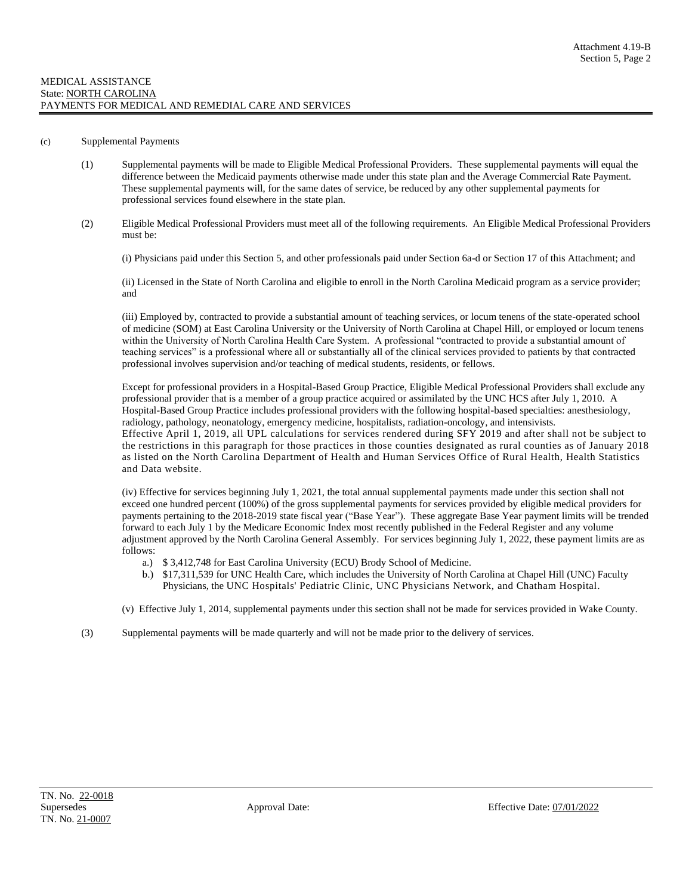## (c) Supplemental Payments

- (1) Supplemental payments will be made to Eligible Medical Professional Providers. These supplemental payments will equal the difference between the Medicaid payments otherwise made under this state plan and the Average Commercial Rate Payment. These supplemental payments will, for the same dates of service, be reduced by any other supplemental payments for professional services found elsewhere in the state plan.
- (2) Eligible Medical Professional Providers must meet all of the following requirements. An Eligible Medical Professional Providers must be:

(i) Physicians paid under this Section 5, and other professionals paid under Section 6a-d or Section 17 of this Attachment; and

(ii) Licensed in the State of North Carolina and eligible to enroll in the North Carolina Medicaid program as a service provider; and

(iii) Employed by, contracted to provide a substantial amount of teaching services, or locum tenens of the state-operated school of medicine (SOM) at East Carolina University or the University of North Carolina at Chapel Hill, or employed or locum tenens within the University of North Carolina Health Care System. A professional "contracted to provide a substantial amount of teaching services" is a professional where all or substantially all of the clinical services provided to patients by that contracted professional involves supervision and/or teaching of medical students, residents, or fellows.

Except for professional providers in a Hospital-Based Group Practice, Eligible Medical Professional Providers shall exclude any professional provider that is a member of a group practice acquired or assimilated by the UNC HCS after July 1, 2010. A Hospital-Based Group Practice includes professional providers with the following hospital-based specialties: anesthesiology, radiology, pathology, neonatology, emergency medicine, hospitalists, radiation-oncology, and intensivists. Effective April 1, 2019, all UPL calculations for services rendered during SFY 2019 and after shall not be subject to the restrictions in this paragraph for those practices in those counties designated as rural counties as of January 2018 as listed on the North Carolina Department of Health and Human Services Office of Rural Health, Health Statistics and Data website.

(iv) Effective for services beginning July 1, 2021, the total annual supplemental payments made under this section shall not exceed one hundred percent (100%) of the gross supplemental payments for services provided by eligible medical providers for payments pertaining to the 2018-2019 state fiscal year ("Base Year"). These aggregate Base Year payment limits will be trended forward to each July 1 by the Medicare Economic Index most recently published in the Federal Register and any volume adjustment approved by the North Carolina General Assembly. For services beginning July 1, 2022, these payment limits are as follows:

- a.) \$ 3,412,748 for East Carolina University (ECU) Brody School of Medicine.
- b.) \$17,311,539 for UNC Health Care, which includes the University of North Carolina at Chapel Hill (UNC) Faculty Physicians, the UNC Hospitals' Pediatric Clinic, UNC Physicians Network, and Chatham Hospital.
- (v) Effective July 1, 2014, supplemental payments under this section shall not be made for services provided in Wake County.
- (3) Supplemental payments will be made quarterly and will not be made prior to the delivery of services.